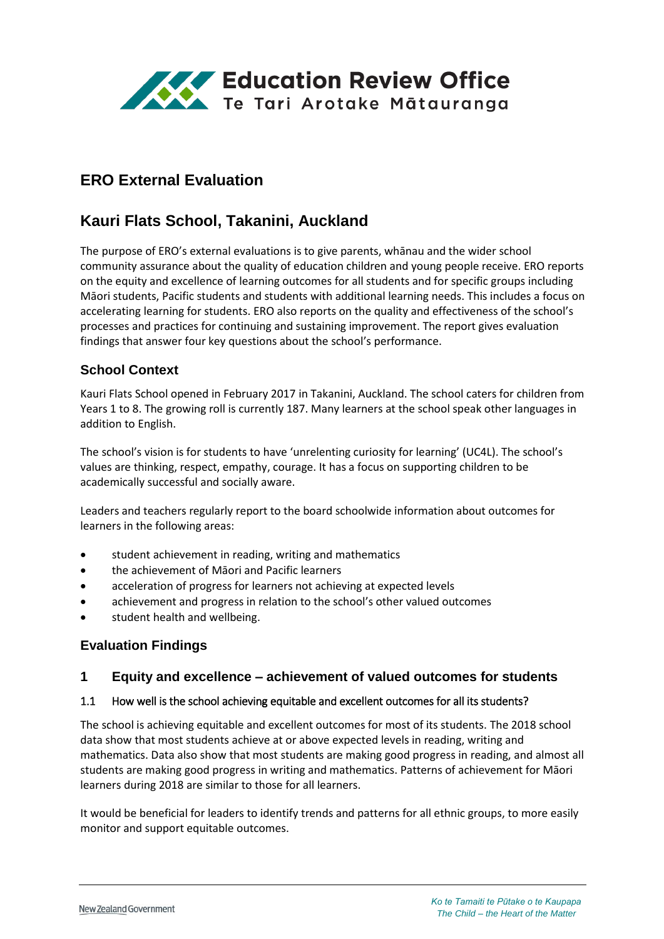

# **ERO External Evaluation**

# **Kauri Flats School, Takanini, Auckland**

The purpose of ERO's external evaluations is to give parents, whānau and the wider school community assurance about the quality of education children and young people receive. ERO reports on the equity and excellence of learning outcomes for all students and for specific groups including Māori students, Pacific students and students with additional learning needs. This includes a focus on accelerating learning for students. ERO also reports on the quality and effectiveness of the school's processes and practices for continuing and sustaining improvement. The report gives evaluation findings that answer four key questions about the school's performance.

### **School Context**

Kauri Flats School opened in February 2017 in Takanini, Auckland. The school caters for children from Years 1 to 8. The growing roll is currently 187. Many learners at the school speak other languages in addition to English.

The school's vision is for students to have 'unrelenting curiosity for learning' (UC4L). The school's values are thinking, respect, empathy, courage. It has a focus on supporting children to be academically successful and socially aware.

Leaders and teachers regularly report to the board schoolwide information about outcomes for learners in the following areas:

- student achievement in reading, writing and mathematics
- the achievement of Māori and Pacific learners
- acceleration of progress for learners not achieving at expected levels
- achievement and progress in relation to the school's other valued outcomes
- student health and wellbeing.

#### **Evaluation Findings**

#### **1 Equity and excellence – achievement of valued outcomes for students**

#### 1.1 How well is the school achieving equitable and excellent outcomes for all its students?

The school is achieving equitable and excellent outcomes for most of its students. The 2018 school data show that most students achieve at or above expected levels in reading, writing and mathematics. Data also show that most students are making good progress in reading, and almost all students are making good progress in writing and mathematics. Patterns of achievement for Māori learners during 2018 are similar to those for all learners.

It would be beneficial for leaders to identify trends and patterns for all ethnic groups, to more easily monitor and support equitable outcomes.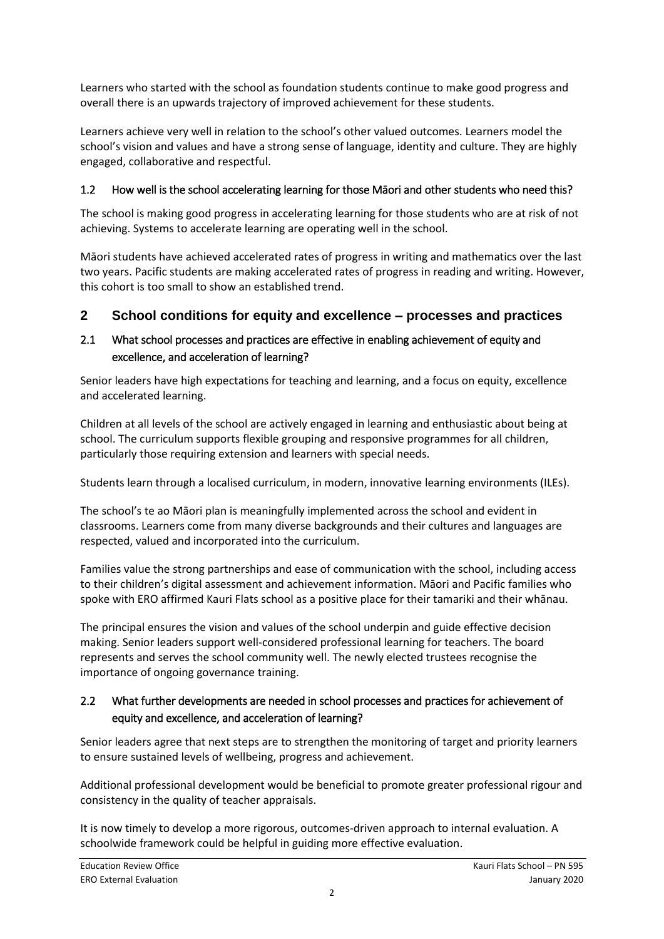Learners who started with the school as foundation students continue to make good progress and overall there is an upwards trajectory of improved achievement for these students.

Learners achieve very well in relation to the school's other valued outcomes. Learners model the school's vision and values and have a strong sense of language, identity and culture. They are highly engaged, collaborative and respectful.

### 1.2 How well is the school accelerating learning for those Māori and other students who need this?

The school is making good progress in accelerating learning for those students who are at risk of not achieving. Systems to accelerate learning are operating well in the school.

Māori students have achieved accelerated rates of progress in writing and mathematics over the last two years. Pacific students are making accelerated rates of progress in reading and writing. However, this cohort is too small to show an established trend.

### **2 School conditions for equity and excellence – processes and practices**

### 2.1 What school processes and practices are effective in enabling achievement of equity and excellence, and acceleration of learning?

Senior leaders have high expectations for teaching and learning, and a focus on equity, excellence and accelerated learning.

Children at all levels of the school are actively engaged in learning and enthusiastic about being at school. The curriculum supports flexible grouping and responsive programmes for all children, particularly those requiring extension and learners with special needs.

Students learn through a localised curriculum, in modern, innovative learning environments (ILEs).

The school's te ao Māori plan is meaningfully implemented across the school and evident in classrooms. Learners come from many diverse backgrounds and their cultures and languages are respected, valued and incorporated into the curriculum.

Families value the strong partnerships and ease of communication with the school, including access to their children's digital assessment and achievement information. Māori and Pacific families who spoke with ERO affirmed Kauri Flats school as a positive place for their tamariki and their whānau.

The principal ensures the vision and values of the school underpin and guide effective decision making. Senior leaders support well-considered professional learning for teachers. The board represents and serves the school community well. The newly elected trustees recognise the importance of ongoing governance training.

### 2.2 What further developments are needed in school processes and practices for achievement of equity and excellence, and acceleration of learning?

Senior leaders agree that next steps are to strengthen the monitoring of target and priority learners to ensure sustained levels of wellbeing, progress and achievement.

Additional professional development would be beneficial to promote greater professional rigour and consistency in the quality of teacher appraisals.

It is now timely to develop a more rigorous, outcomes-driven approach to internal evaluation. A schoolwide framework could be helpful in guiding more effective evaluation.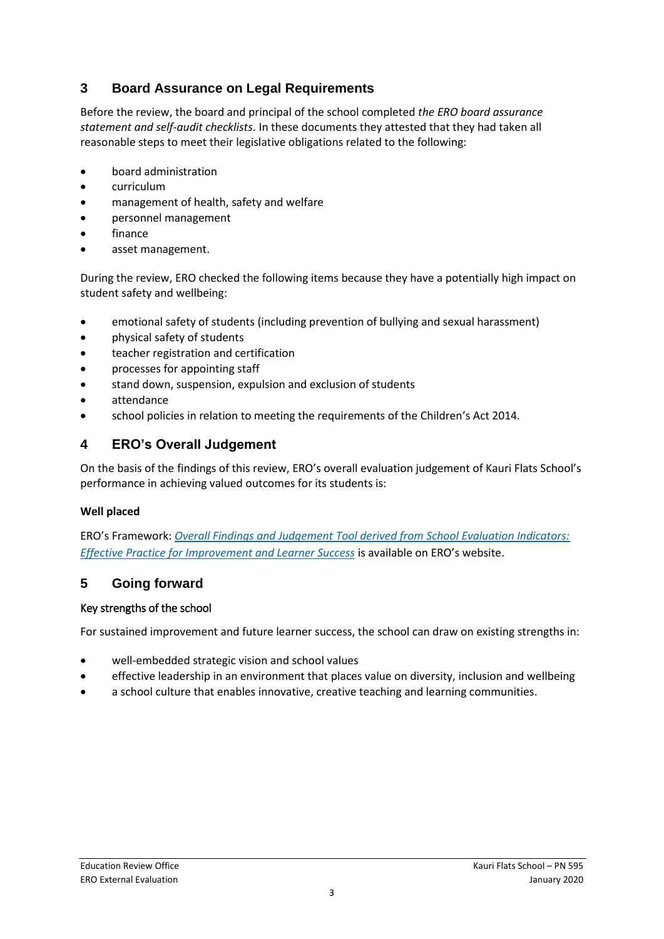## **3 Board Assurance on Legal Requirements**

Before the review, the board and principal of the school completed *the ERO board assurance statement and self-audit checklists*. In these documents they attested that they had taken all reasonable steps to meet their legislative obligations related to the following:

- board administration
- curriculum
- management of health, safety and welfare
- personnel management
- finance
- asset management.

During the review, ERO checked the following items because they have a potentially high impact on student safety and wellbeing:

- emotional safety of students (including prevention of bullying and sexual harassment)
- physical safety of students
- teacher registration and certification
- processes for appointing staff
- stand down, suspension, expulsion and exclusion of students
- attendance
- school policies in relation to meeting the requirements of the Children's Act 2014.

## **4 ERO's Overall Judgement**

On the basis of the findings of this review, ERO's overall evaluation judgement of Kauri Flats School's performance in achieving valued outcomes for its students is:

#### **Well placed**

ERO's Framework: *[Overall Findings and Judgement Tool derived from School Evaluation Indicators:](https://www.ero.govt.nz/assets/Uploads/ERO-18798-1-AF-Overall-findings-and-judgements-document-v4.pdf)  [Effective Practice for Improvement and Learner Success](https://www.ero.govt.nz/assets/Uploads/ERO-18798-1-AF-Overall-findings-and-judgements-document-v4.pdf)* is available on ERO's website.

## **5 Going forward**

#### Key strengths of the school

For sustained improvement and future learner success, the school can draw on existing strengths in:

- well-embedded strategic vision and school values
- effective leadership in an environment that places value on diversity, inclusion and wellbeing
- a school culture that enables innovative, creative teaching and learning communities.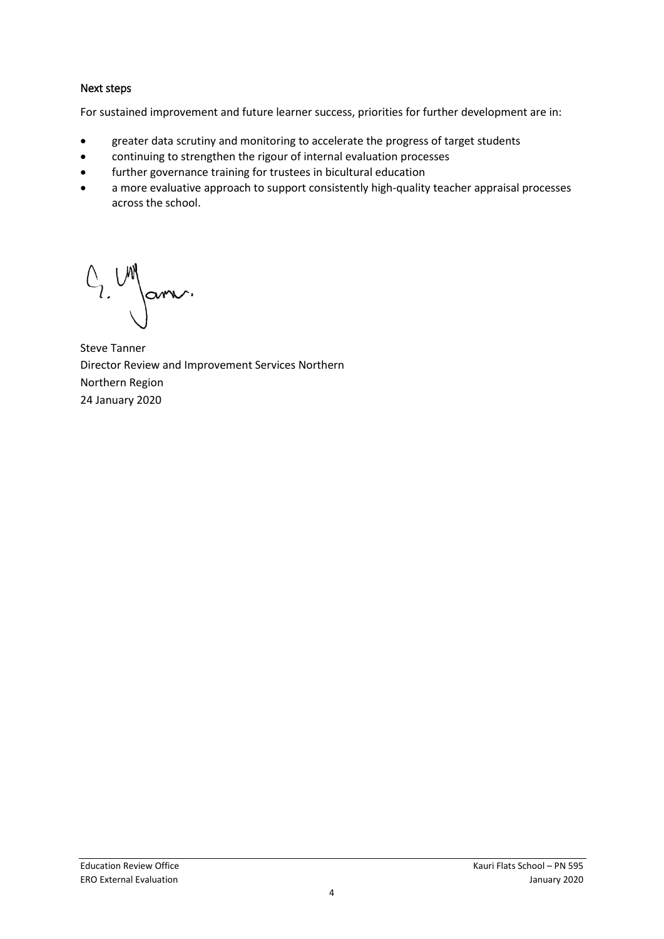#### Next steps

For sustained improvement and future learner success, priorities for further development are in:

- greater data scrutiny and monitoring to accelerate the progress of target students
- continuing to strengthen the rigour of internal evaluation processes
- further governance training for trustees in bicultural education
- a more evaluative approach to support consistently high-quality teacher appraisal processes across the school.

 $C_1$   $\begin{pmatrix} 1 & 1 \\ 1 & 1 \end{pmatrix}$ arr.

Steve Tanner Director Review and Improvement Services Northern Northern Region 24 January 2020